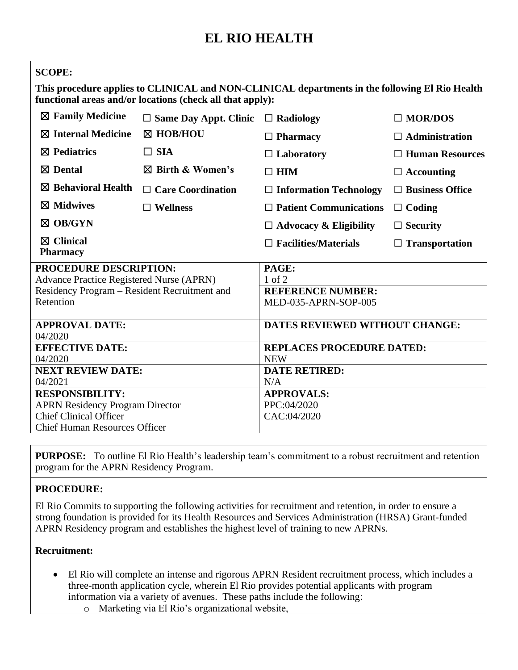# **EL RIO HEALTH**

| <b>SCOPE:</b>                                   |                                                           |                                                                                                |                        |
|-------------------------------------------------|-----------------------------------------------------------|------------------------------------------------------------------------------------------------|------------------------|
|                                                 | functional areas and/or locations (check all that apply): | This procedure applies to CLINICAL and NON-CLINICAL departments in the following El Rio Health |                        |
| $\boxtimes$ Family Medicine                     | $\Box$ Same Day Appt. Clinic                              | $\Box$ Radiology                                                                               | $\Box$ MOR/DOS         |
| $\boxtimes$ Internal Medicine                   | ⊠ HOB/HOU                                                 | $\Box$ Pharmacy                                                                                | $\Box$ Administration  |
| $\boxtimes$ Pediatrics                          | $\Box$ SIA                                                | $\Box$ Laboratory                                                                              | $\Box$ Human Resources |
| $\boxtimes$ Dental                              | $\boxtimes$ Birth & Women's                               | $\square$ HIM                                                                                  | $\Box$ Accounting      |
| $\boxtimes$ Behavioral Health                   | $\Box$ Care Coordination                                  | $\Box$ Information Technology                                                                  | $\Box$ Business Office |
| $\boxtimes$ Midwives                            | $\Box$ Wellness                                           | $\Box$ Patient Communications                                                                  | $\Box$ Coding          |
| $\boxtimes$ OB/GYN                              |                                                           | $\Box$ Advocacy & Eligibility                                                                  | $\Box$ Security        |
| $\boxtimes$ Clinical<br><b>Pharmacy</b>         |                                                           | $\Box$ Facilities/Materials                                                                    | $\Box$ Transportation  |
| PROCEDURE DESCRIPTION:                          |                                                           | PAGE:                                                                                          |                        |
| <b>Advance Practice Registered Nurse (APRN)</b> |                                                           | $1$ of $2$                                                                                     |                        |
| Residency Program - Resident Recruitment and    |                                                           | <b>REFERENCE NUMBER:</b>                                                                       |                        |
| Retention                                       |                                                           | MED-035-APRN-SOP-005                                                                           |                        |
| <b>APPROVAL DATE:</b>                           |                                                           | <b>DATES REVIEWED WITHOUT CHANGE:</b>                                                          |                        |
| 04/2020                                         |                                                           |                                                                                                |                        |
| <b>EFFECTIVE DATE:</b>                          |                                                           | <b>REPLACES PROCEDURE DATED:</b>                                                               |                        |
| 04/2020                                         |                                                           | <b>NEW</b>                                                                                     |                        |
| <b>NEXT REVIEW DATE:</b>                        |                                                           | <b>DATE RETIRED:</b>                                                                           |                        |
| 04/2021<br><b>RESPONSIBILITY:</b>               |                                                           | N/A<br><b>APPROVALS:</b>                                                                       |                        |
| <b>APRN Residency Program Director</b>          |                                                           | PPC:04/2020                                                                                    |                        |
| <b>Chief Clinical Officer</b>                   |                                                           | CAC:04/2020                                                                                    |                        |
| <b>Chief Human Resources Officer</b>            |                                                           |                                                                                                |                        |
|                                                 |                                                           |                                                                                                |                        |

**PURPOSE:** To outline El Rio Health's leadership team's commitment to a robust recruitment and retention program for the APRN Residency Program.

## **PROCEDURE:**

El Rio Commits to supporting the following activities for recruitment and retention, in order to ensure a strong foundation is provided for its Health Resources and Services Administration (HRSA) Grant-funded APRN Residency program and establishes the highest level of training to new APRNs.

## **Recruitment:**

- El Rio will complete an intense and rigorous APRN Resident recruitment process, which includes a three-month application cycle, wherein El Rio provides potential applicants with program information via a variety of avenues. These paths include the following:
	- o Marketing via El Rio's organizational website,